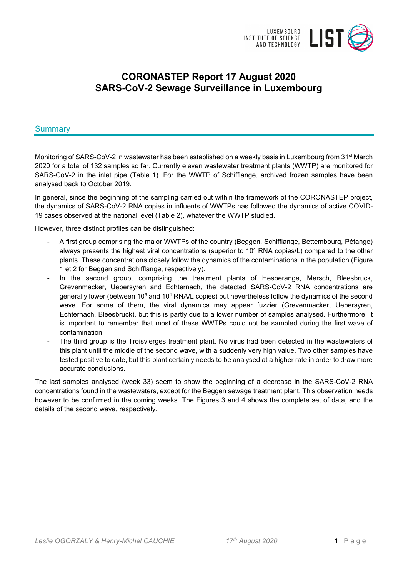

# **CORONASTEP Report 17 August 2020 SARS-CoV-2 Sewage Surveillance in Luxembourg**

### Summary

Monitoring of SARS-CoV-2 in wastewater has been established on a weekly basis in Luxembourg from 31<sup>st</sup> March 2020 for a total of 132 samples so far. Currently eleven wastewater treatment plants (WWTP) are monitored for SARS-CoV-2 in the inlet pipe (Table 1). For the WWTP of Schifflange, archived frozen samples have been analysed back to October 2019.

In general, since the beginning of the sampling carried out within the framework of the CORONASTEP project, the dynamics of SARS-CoV-2 RNA copies in influents of WWTPs has followed the dynamics of active COVID-19 cases observed at the national level (Table 2), whatever the WWTP studied.

However, three distinct profiles can be distinguished:

- A first group comprising the major WWTPs of the country (Beggen, Schifflange, Bettembourg, Pétange) always presents the highest viral concentrations (superior to 104 RNA copies/L) compared to the other plants. These concentrations closely follow the dynamics of the contaminations in the population (Figure 1 et 2 for Beggen and Schifflange, respectively).
- In the second group, comprising the treatment plants of Hesperange, Mersch, Bleesbruck, Grevenmacker, Uebersyren and Echternach, the detected SARS-CoV-2 RNA concentrations are generally lower (between 10<sup>3</sup> and 10<sup>4</sup> RNA/L copies) but nevertheless follow the dynamics of the second wave. For some of them, the viral dynamics may appear fuzzier (Grevenmacker, Uebersyren, Echternach, Bleesbruck), but this is partly due to a lower number of samples analysed. Furthermore, it is important to remember that most of these WWTPs could not be sampled during the first wave of contamination.
- The third group is the Troisvierges treatment plant. No virus had been detected in the wastewaters of this plant until the middle of the second wave, with a suddenly very high value. Two other samples have tested positive to date, but this plant certainly needs to be analysed at a higher rate in order to draw more accurate conclusions.

The last samples analysed (week 33) seem to show the beginning of a decrease in the SARS-CoV-2 RNA concentrations found in the wastewaters, except for the Beggen sewage treatment plant. This observation needs however to be confirmed in the coming weeks. The Figures 3 and 4 shows the complete set of data, and the details of the second wave, respectively.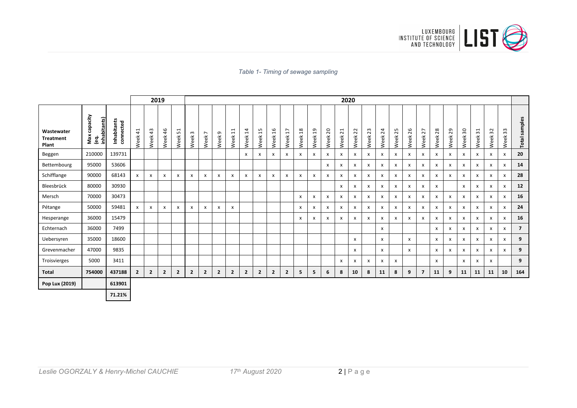

*Table 1- Timing of sewage sampling* 

| 2019                                    |                                         |                          |              |                | 2020                      |                |                  |                        |                |                |                        |                                       |                           |                                                    |                 |         |                           |                           |                           |              |                           |                    |                           |                |              |            |                |                           |              |                           |                |
|-----------------------------------------|-----------------------------------------|--------------------------|--------------|----------------|---------------------------|----------------|------------------|------------------------|----------------|----------------|------------------------|---------------------------------------|---------------------------|----------------------------------------------------|-----------------|---------|---------------------------|---------------------------|---------------------------|--------------|---------------------------|--------------------|---------------------------|----------------|--------------|------------|----------------|---------------------------|--------------|---------------------------|----------------|
| Wastewater<br><b>Treatment</b><br>Plant | capacity<br>inhabitants)<br>Max<br>(eq. | Inhabitants<br>connected | Neek 41      | Week 43        | Week 46                   | Week 51        | $\omega$<br>Week | $\overline{ }$<br>Week | G<br>Week      | $\Xi$<br>Week  | $\overline{1}$<br>Week | S<br>$\overline{\phantom{0}}$<br>Week | $\overline{a}$<br>Week    | $\overline{ }$<br>$\overline{\phantom{0}}$<br>Week | $^{28}$<br>Week | Week 19 | Week <sub>20</sub>        | Week <sub>21</sub>        | Week 22                   | Week 23      | Week 24                   | Week <sub>25</sub> | 26<br>Week                | 27<br>Week     | 28<br>Week   | 29<br>Week | $30\,$<br>Week | $\overline{31}$<br>Week   | 32<br>Week   | $33\,$<br>Week            | Total samples  |
| Beggen                                  | 210000                                  | 139731                   |              |                |                           |                |                  |                        |                |                | $\mathsf{x}$           | $\mathsf{x}$                          | $\mathsf{x}$              | x                                                  | x               | X       | X                         | x                         | x                         | $\mathsf{x}$ | $\boldsymbol{\mathsf{x}}$ | $\mathsf{x}$       | $\boldsymbol{\mathsf{x}}$ | x              | $\mathsf{x}$ | x          | $\mathsf{x}$   | $\mathsf{x}$              | $\mathsf{x}$ | x                         | 20             |
| Bettembourg                             | 95000                                   | 53606                    |              |                |                           |                |                  |                        |                |                |                        |                                       |                           |                                                    |                 |         | x                         | $\boldsymbol{\mathsf{x}}$ | x                         | X            | $\boldsymbol{\mathsf{x}}$ | $\pmb{\chi}$       | $\boldsymbol{\mathsf{x}}$ | X              | x            | x          | $\mathsf{x}$   | $\mathsf{x}$              | X            | $\mathsf{x}$              | 14             |
| Schifflange                             | 90000                                   | 68143                    | x            | x              | $\boldsymbol{\mathsf{x}}$ | X              | $\pmb{\times}$   | X                      | x              | x              | X                      | $\boldsymbol{\mathsf{x}}$             | $\boldsymbol{\mathsf{x}}$ | X                                                  | X               | X       | $\boldsymbol{\mathsf{x}}$ | x                         | x                         | X            | $\boldsymbol{\mathsf{x}}$ | $\pmb{\times}$     | $\boldsymbol{\mathsf{x}}$ | X              | x            | x          | $\mathsf{x}$   | $\boldsymbol{\mathsf{x}}$ | x            | $\boldsymbol{\mathsf{x}}$ | 28             |
| Bleesbrück                              | 80000                                   | 30930                    |              |                |                           |                |                  |                        |                |                |                        |                                       |                           |                                                    |                 |         |                           | x                         | x                         | X            | $\boldsymbol{\mathsf{x}}$ | x                  | $\boldsymbol{\mathsf{x}}$ | X              | X            |            | $\mathsf{x}$   | X                         | x            | X                         | 12             |
| Mersch                                  | 70000                                   | 30473                    |              |                |                           |                |                  |                        |                |                |                        |                                       |                           |                                                    | X               | X       | X                         | x                         | x                         | X            | $\boldsymbol{\mathsf{x}}$ | $\pmb{\times}$     | $\boldsymbol{\mathsf{x}}$ | X              | x            | x          | $\pmb{\chi}$   | X                         | X            | x                         | 16             |
| Pétange                                 | 50000                                   | 59481                    | x            | $\mathsf{x}$   | $\boldsymbol{\mathsf{x}}$ | x              | X                | x                      | x              | x              |                        |                                       |                           |                                                    | x               | X       | X                         | $\mathsf{x}$              | x                         | X            | X                         | X                  | $\boldsymbol{\mathsf{x}}$ | X              | X            | x          | $\mathsf{x}$   | x                         | $\mathsf{x}$ | x                         | 24             |
| Hesperange                              | 36000                                   | 15479                    |              |                |                           |                |                  |                        |                |                |                        |                                       |                           |                                                    | x               | x       | x                         | $\mathsf{x}$              | x                         | $\mathsf{x}$ | X                         | x                  | $\boldsymbol{\mathsf{x}}$ | X              | $\mathsf{x}$ | x          | $\mathsf{x}$   | $\mathsf{x}$              | $\mathsf{x}$ | x                         | 16             |
| Echternach                              | 36000                                   | 7499                     |              |                |                           |                |                  |                        |                |                |                        |                                       |                           |                                                    |                 |         |                           |                           |                           |              | x                         |                    |                           |                | $\mathsf{x}$ | x          | $\mathsf{x}$   | $\mathsf{x}$              | X            | X                         | $\overline{7}$ |
| Uebersyren                              | 35000                                   | 18600                    |              |                |                           |                |                  |                        |                |                |                        |                                       |                           |                                                    |                 |         |                           |                           | x                         |              | $\boldsymbol{\mathsf{x}}$ |                    | $\mathsf{x}$              |                | $\mathsf{x}$ | x          | $\mathsf{x}$   | $\mathsf{x}$              | X            | X                         | 9              |
| Grevenmacher                            | 47000                                   | 9835                     |              |                |                           |                |                  |                        |                |                |                        |                                       |                           |                                                    |                 |         |                           |                           | $\boldsymbol{\mathsf{x}}$ |              | x                         |                    | $\mathsf{x}$              |                | $\mathsf{x}$ | x          | $\mathsf{x}$   | $\mathsf{x}$              | X            | X                         | 9              |
| Troisvierges                            | 5000                                    | 3411                     |              |                |                           |                |                  |                        |                |                |                        |                                       |                           |                                                    |                 |         |                           | $\boldsymbol{\mathsf{x}}$ | x                         | X            | $\boldsymbol{\mathsf{x}}$ | $\mathsf{x}$       |                           |                | $\mathsf{x}$ |            | $\mathsf{x}$   | $\mathsf{x}$              | X            |                           | 9              |
| <b>Total</b>                            | 754000                                  | 437188                   | $\mathbf{2}$ | $\overline{2}$ | $\overline{2}$            | $\overline{2}$ | $\overline{2}$   | $\mathbf{2}$           | $\overline{2}$ | $\overline{2}$ | $\overline{2}$         | $\overline{2}$                        | $\overline{2}$            | $\overline{2}$                                     | 5               | 5       | 6                         | 8                         | 10                        | 8            | 11                        | 8                  | 9                         | $\overline{7}$ | 11           | 9          | 11             | 11                        | 11           | 10                        | 164            |
| Pop Lux (2019)                          |                                         | 613901                   |              |                |                           |                |                  |                        |                |                |                        |                                       |                           |                                                    |                 |         |                           |                           |                           |              |                           |                    |                           |                |              |            |                |                           |              |                           |                |
|                                         |                                         | 71.21%                   |              |                |                           |                |                  |                        |                |                |                        |                                       |                           |                                                    |                 |         |                           |                           |                           |              |                           |                    |                           |                |              |            |                |                           |              |                           |                |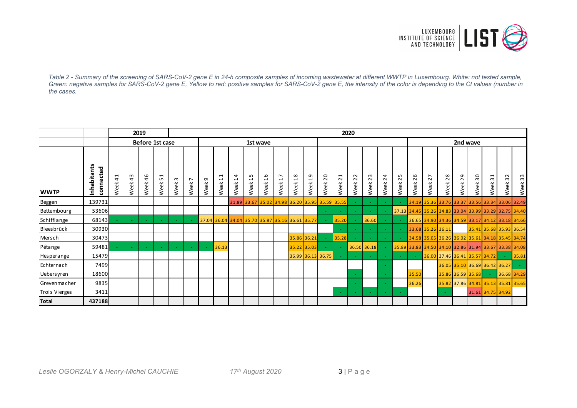

*Table 2 - Summary of the screening of SARS-CoV-2 gene E in 24-h composite samples of incoming wastewater at different WWTP in Luxembourg. White: not tested sample, Green: negative samples for SARS-CoV-2 gene E, Yellow to red: positive samples for SARS-CoV-2 gene E, the intensity of the color is depending to the Ct values (number in the cases.*

|               |                          |                           | 2019            |            |            |                  | 2020                   |               |                                                              |                     |                               |                |                                                 |                 |                            |                     |                                          |                        |                |                     |                |                                                       |            |            |                               |                   |                         |            |                                                 |
|---------------|--------------------------|---------------------------|-----------------|------------|------------|------------------|------------------------|---------------|--------------------------------------------------------------|---------------------|-------------------------------|----------------|-------------------------------------------------|-----------------|----------------------------|---------------------|------------------------------------------|------------------------|----------------|---------------------|----------------|-------------------------------------------------------|------------|------------|-------------------------------|-------------------|-------------------------|------------|-------------------------------------------------|
|               |                          |                           | Before 1st case |            |            |                  |                        | 1st wave      |                                                              |                     |                               |                |                                                 |                 |                            |                     |                                          |                        |                |                     |                |                                                       | 2nd wave   |            |                               |                   |                         |            |                                                 |
| <b>WWTP</b>   | Inhabitants<br>connected | $\overline{4}$<br>eĕ<br>₹ | 43<br>Week      | 46<br>Week | 51<br>Week | $\omega$<br>Week | $\overline{ }$<br>Week | ᡡ<br>eek<br>Š | $\overline{\phantom{0}}$<br>$\overline{\phantom{0}}$<br>Week | 14<br>eek<br>$\geq$ | LO.<br>$\overline{ }$<br>Week | 16<br>eek<br>≷ | $\overline{ }$<br>$\overline{ }$<br>Week        | $^{18}$<br>Week | $\overline{a}$<br>eek<br>≷ | 20<br>eek<br>$\geq$ | $\overline{21}$<br>$\check{e}$<br>$\geq$ | $\overline{2}$<br>Week | 23<br>eek<br>≥ | 24<br>eek<br>$\geq$ | 25<br>eek<br>≥ | 26<br>eek<br>$\geq$                                   | 27<br>Week | 28<br>Week | 29<br>Week                    | Week 30           | $\overline{31}$<br>Week | 32<br>Week | Week 33                                         |
| Beggen        | 139731                   |                           |                 |            |            |                  |                        |               |                                                              |                     |                               |                | 31.89 33.67 35.02 34.98 36.20 35.95 35.59 35.55 |                 |                            |                     |                                          |                        |                |                     |                |                                                       |            |            |                               |                   |                         |            | 34.19 35.36 33.76 33.37 33.56 33.34 33.06 32.49 |
| Bettembourg   | 53606                    |                           |                 |            |            |                  |                        |               |                                                              |                     |                               |                |                                                 |                 |                            |                     |                                          |                        |                |                     |                | 37.13 34.45 35.26 34.83 33.04 33.99 33.29 32.75 34.40 |            |            |                               |                   |                         |            |                                                 |
| Schifflange   | 68143                    |                           |                 |            |            |                  |                        |               | 37.04 36.04 34.04 35.70 35.87 35.16 36.61 35.77              |                     |                               |                |                                                 |                 |                            |                     | 35.20                                    |                        | 36.60          |                     |                | 36.65 34.90 34.36 34.59 33.17 34.12 33.18 34.66       |            |            |                               |                   |                         |            |                                                 |
| Bleesbrück    | 30930                    |                           |                 |            |            |                  |                        |               |                                                              |                     |                               |                |                                                 |                 |                            |                     | $\sim$                                   |                        |                |                     |                | 33.68 35.26 36.11                                     |            |            |                               |                   |                         |            | 35.41 35.68 35.93 36.54                         |
| Mersch        | 30473                    |                           |                 |            |            |                  |                        |               |                                                              |                     |                               |                |                                                 |                 | 35.86 36.21                |                     | 35.28                                    |                        |                |                     |                |                                                       |            |            |                               |                   |                         |            | 34.58 35.05 36.26 36.02 35.61 34.18 35.45 34.74 |
| Pétange       | 59481                    |                           |                 |            |            |                  |                        |               | 36.13                                                        |                     |                               |                |                                                 |                 | 35.22 35.03                |                     |                                          |                        | 36.50 36.18    |                     |                | 35.89 33.83 34.50 34.10 32.86 31.94 33.67 33.38 34.08 |            |            |                               |                   |                         |            |                                                 |
| Hesperange    | 15479                    |                           |                 |            |            |                  |                        |               |                                                              |                     |                               |                |                                                 |                 |                            | 36.99 36.13 36.75   |                                          |                        |                |                     |                |                                                       |            |            | 36.00 37.46 36.41 35.57 34.72 |                   |                         | $\sim$     | 35.81                                           |
| Echternach    | 7499                     |                           |                 |            |            |                  |                        |               |                                                              |                     |                               |                |                                                 |                 |                            |                     |                                          |                        |                |                     |                |                                                       |            |            | 36.05 35.10 36.69 36.42 36.27 |                   |                         |            |                                                 |
| Uebersyren    | 18600                    |                           |                 |            |            |                  |                        |               |                                                              |                     |                               |                |                                                 |                 |                            |                     |                                          |                        |                |                     |                | 35.50                                                 |            |            | 35.86 36.59 35.68             |                   |                         |            | 36.68 34.29                                     |
| Grevenmacher  | 9835                     |                           |                 |            |            |                  |                        |               |                                                              |                     |                               |                |                                                 |                 |                            |                     |                                          |                        |                |                     |                | 36.26                                                 |            |            |                               |                   |                         |            | 35.82 37.86 34.81 35.13 35.81 35.65             |
| Trois Vierges | 3411                     |                           |                 |            |            |                  |                        |               |                                                              |                     |                               |                |                                                 |                 |                            |                     |                                          |                        |                |                     |                |                                                       |            |            |                               | 31.61 34.75 34.92 |                         |            |                                                 |
| <b>Total</b>  | 437188                   |                           |                 |            |            |                  |                        |               |                                                              |                     |                               |                |                                                 |                 |                            |                     |                                          |                        |                |                     |                |                                                       |            |            |                               |                   |                         |            |                                                 |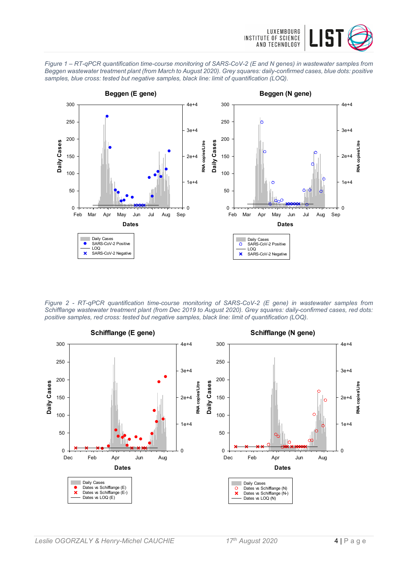





*Figure 2 - RT-qPCR quantification time-course monitoring of SARS-CoV-2 (E gene) in wastewater samples from Schifflange wastewater treatment plant (from Dec 2019 to August 2020). Grey squares: daily-confirmed cases, red dots: positive samples, red cross: tested but negative samples, black line: limit of quantification (LOQ).*

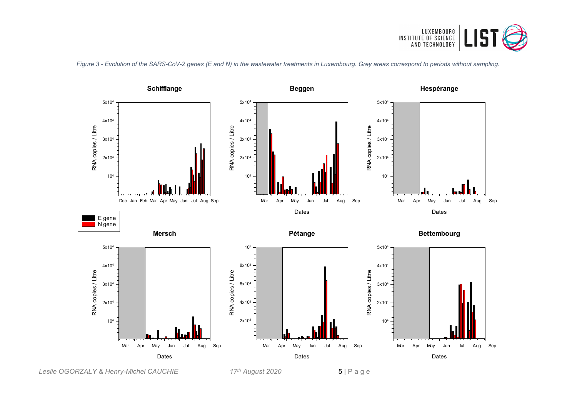

*Figure 3 - Evolution of the SARS-CoV-2 genes (E and N) in the wastewater treatments in Luxembourg. Grey areas correspond to periods without sampling.*



*Leslie OGORZALY & Henry-Michel CAUCHIE 17th August 2020* 5 | Page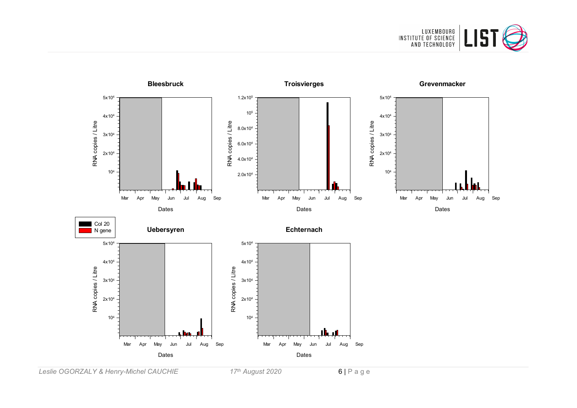



*Leslie OGORZALY & Henry-Michel CAUCHIE 17th August 2020* 6 | Page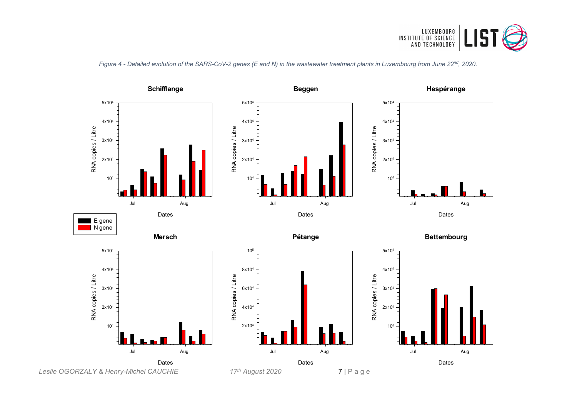

*Figure 4 - Detailed evolution of the SARS-CoV-2 genes (E and N) in the wastewater treatment plants in Luxembourg from June 22nd, 2020.*

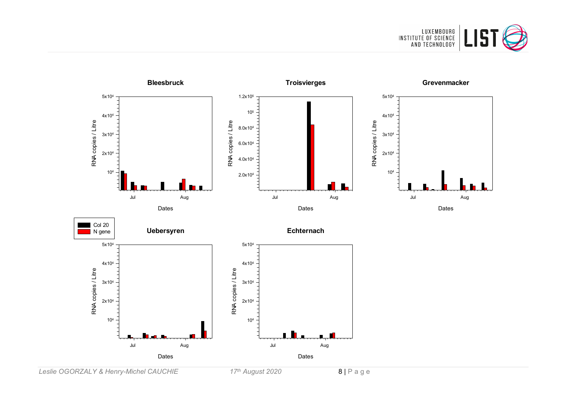



*Leslie OGORZALY & Henry-Michel CAUCHIE 17th August 2020* 8 | Page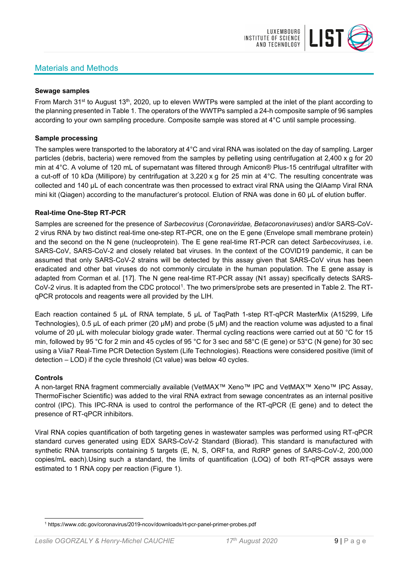## Materials and Methods



#### **Sewage samples**

From March 31<sup>st</sup> to August 13<sup>th</sup>, 2020, up to eleven WWTPs were sampled at the inlet of the plant according to the planning presented in Table 1. The operators of the WWTPs sampled a 24-h composite sample of 96 samples according to your own sampling procedure. Composite sample was stored at 4°C until sample processing.

#### **Sample processing**

The samples were transported to the laboratory at 4°C and viral RNA was isolated on the day of sampling. Larger particles (debris, bacteria) were removed from the samples by pelleting using centrifugation at 2,400 x g for 20 min at 4°C. A volume of 120 mL of supernatant was filtered through Amicon® Plus-15 centrifugal ultrafilter with a cut-off of 10 kDa (Millipore) by centrifugation at 3,220 x g for 25 min at 4°C. The resulting concentrate was collected and 140 µL of each concentrate was then processed to extract viral RNA using the QIAamp Viral RNA mini kit (Qiagen) according to the manufacturer's protocol. Elution of RNA was done in 60 μL of elution buffer.

#### **Real-time One-Step RT-PCR**

Samples are screened for the presence of *Sarbecovirus* (*Coronaviridae, Betacoronaviruses*) and/or SARS-CoV-2 virus RNA by two distinct real-time one-step RT-PCR, one on the E gene (Envelope small membrane protein) and the second on the N gene (nucleoprotein). The E gene real-time RT-PCR can detect *Sarbecoviruses*, i.e. SARS-CoV, SARS-CoV-2 and closely related bat viruses. In the context of the COVID19 pandemic, it can be assumed that only SARS-CoV-2 strains will be detected by this assay given that SARS-CoV virus has been eradicated and other bat viruses do not commonly circulate in the human population. The E gene assay is adapted from Corman et al. [17]. The N gene real-time RT-PCR assay (N1 assay) specifically detects SARS-CoV-2 virus. It is adapted from the CDC protocol[1](#page-8-0). The two primers/probe sets are presented in Table 2. The RTqPCR protocols and reagents were all provided by the LIH.

Each reaction contained 5 μL of RNA template, 5 μL of TaqPath 1-step RT-qPCR MasterMix (A15299, Life Technologies), 0.5 µL of each primer (20 µM) and probe (5 µM) and the reaction volume was adjusted to a final volume of 20 μL with molecular biology grade water. Thermal cycling reactions were carried out at 50 °C for 15 min, followed by 95 °C for 2 min and 45 cycles of 95 °C for 3 sec and 58°C (E gene) or 53°C (N gene) for 30 sec using a Viia7 Real-Time PCR Detection System (Life Technologies). Reactions were considered positive (limit of detection – LOD) if the cycle threshold (Ct value) was below 40 cycles.

#### **Controls**

A non-target RNA fragment commercially available (VetMAX™ Xeno™ IPC and VetMAX™ Xeno™ IPC Assay, ThermoFischer Scientific) was added to the viral RNA extract from sewage concentrates as an internal positive control (IPC). This IPC-RNA is used to control the performance of the RT-qPCR (E gene) and to detect the presence of RT-qPCR inhibitors.

Viral RNA copies quantification of both targeting genes in wastewater samples was performed using RT-qPCR standard curves generated using EDX SARS-CoV-2 Standard (Biorad). This standard is manufactured with synthetic RNA transcripts containing 5 targets (E, N, S, ORF1a, and RdRP genes of SARS-CoV-2, 200,000 copies/mL each).Using such a standard, the limits of quantification (LOQ) of both RT-qPCR assays were estimated to 1 RNA copy per reaction (Figure 1).

<span id="page-8-0"></span><sup>1</sup> https://www.cdc.gov/coronavirus/2019-ncov/downloads/rt-pcr-panel-primer-probes.pdf